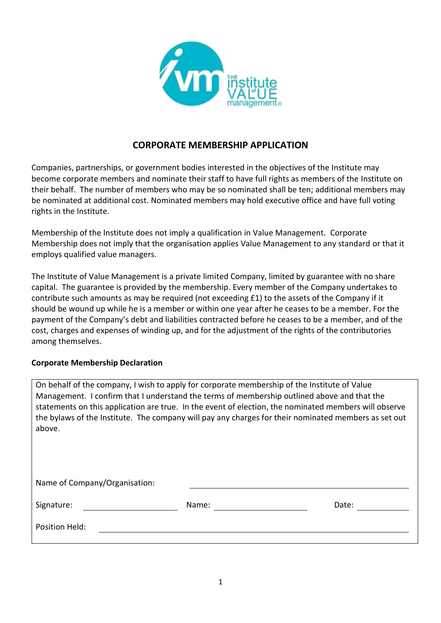

### **CORPORATE MEMBERSHIP APPLICATION**

Companies, partnerships, or government bodies interested in the objectives of the Institute may become corporate members and nominate their staff to have full rights as members of the Institute on their behalf. The number of members who may be so nominated shall be ten; additional members may be nominated at additional cost. Nominated members may hold executive office and have full voting rights in the Institute.

Membership of the Institute does not imply a qualification in Value Management. Corporate Membership does not imply that the organisation applies Value Management to any standard or that it employs qualified value managers.

The Institute of Value Management is a private limited Company, limited by guarantee with no share capital. The guarantee is provided by the membership. Every member of the Company undertakes to contribute such amounts as may be required (not exceeding £1) to the assets of the Company if it should be wound up while he is a member or within one year after he ceases to be a member. For the payment of the Company's debt and liabilities contracted before he ceases to be a member, and of the cost, charges and expenses of winding up, and for the adjustment of the rights of the contributories among themselves.

#### **Corporate Membership Declaration**

On behalf of the company, I wish to apply for corporate membership of the Institute of Value Management. I confirm that I understand the terms of membership outlined above and that the statements on this application are true. In the event of election, the nominated members will observe the bylaws of the Institute. The company will pay any charges for their nominated members as set out above.

Name of Company/Organisation: Signature: Name: Name: 2008 and 2012 and 2013 and 2014 and 2018 and 2018 and 2018 and 2018 and 2018 and 2018 and 2018 and 2018 and 2018 and 2018 and 2018 and 2018 and 2018 and 2018 and 2018 and 2018 and 2018 and 2018 and 2 Position Held: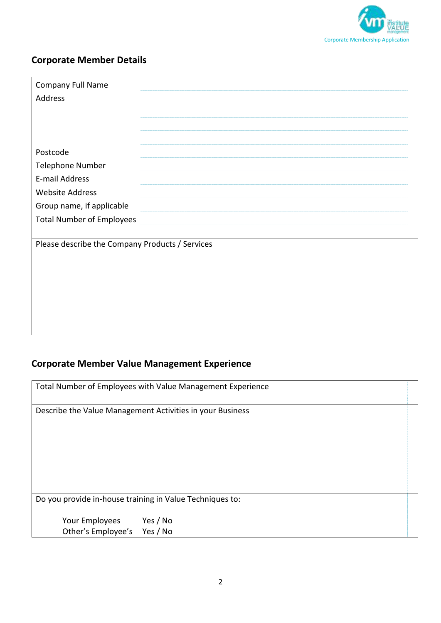

### **Corporate Member Details**

| Company Full Name                               |  |
|-------------------------------------------------|--|
| Address                                         |  |
|                                                 |  |
|                                                 |  |
|                                                 |  |
| Postcode                                        |  |
| Telephone Number                                |  |
| E-mail Address                                  |  |
| <b>Website Address</b>                          |  |
| Group name, if applicable                       |  |
| <b>Total Number of Employees</b>                |  |
|                                                 |  |
| Please describe the Company Products / Services |  |
|                                                 |  |
|                                                 |  |
|                                                 |  |

# **Corporate Member Value Management Experience**

|                                      | Total Number of Employees with Value Management Experience |
|--------------------------------------|------------------------------------------------------------|
|                                      | Describe the Value Management Activities in your Business  |
|                                      |                                                            |
|                                      | Do you provide in-house training in Value Techniques to:   |
| Your Employees<br>Other's Employee's | Yes / No<br>Yes / No                                       |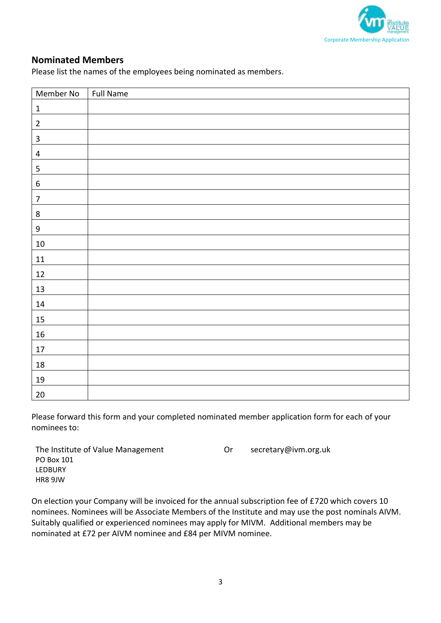

### **Nominated Members**

Please list the names of the employees being nominated as members.

| Member No        | Full Name |
|------------------|-----------|
| $\mathbf 1$      |           |
| $\mathbf 2$      |           |
| $\mathbf{3}$     |           |
| $\overline{4}$   |           |
| 5                |           |
| $\boldsymbol{6}$ |           |
| $\overline{7}$   |           |
| $\bf 8$          |           |
| $\boldsymbol{9}$ |           |
| $10\,$           |           |
| $11\,$           |           |
| $12\,$           |           |
| 13               |           |
| $14\,$           |           |
| $15\,$           |           |
| 16               |           |
| $17\,$           |           |
| $18\,$           |           |
| 19               |           |
| $20\,$           |           |

Please forward this form and your completed nominated member application form for each of your nominees to:

| The Institute of Value Management | . Or | secretary@ivm.org.uk |
|-----------------------------------|------|----------------------|
| PO Box 101                        |      |                      |
| LEDBURY                           |      |                      |
| HR8 9JW                           |      |                      |
|                                   |      |                      |

On election your Company will be invoiced for the annual subscription fee of £720 which covers 10 nominees. Nominees will be Associate Members of the Institute and may use the post nominals AIVM. Suitably qualified or experienced nominees may apply for MIVM. Additional members may be nominated at £72 per AIVM nominee and £84 per MIVM nominee.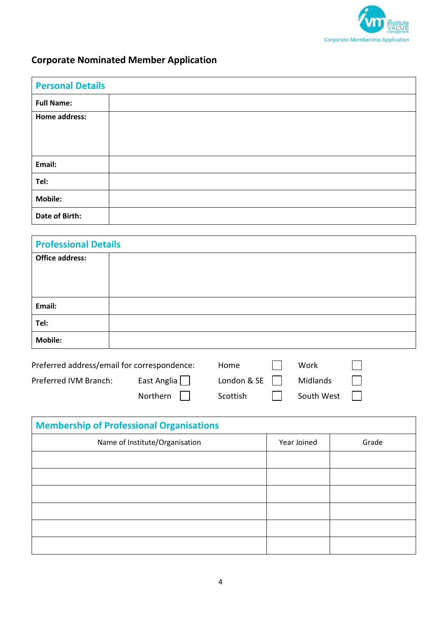

# **Corporate Nominated Member Application**

| <b>Personal Details</b> |  |
|-------------------------|--|
| <b>Full Name:</b>       |  |
| Home address:           |  |
|                         |  |
|                         |  |
| Email:                  |  |
| Tel:                    |  |
| <b>Mobile:</b>          |  |
| Date of Birth:          |  |

| <b>Professional Details</b> |  |  |
|-----------------------------|--|--|
| <b>Office address:</b>      |  |  |
|                             |  |  |
|                             |  |  |
| Email:                      |  |  |
| Tel:                        |  |  |
| <b>Mobile:</b>              |  |  |
|                             |  |  |

| Preferred address/email for correspondence: |             | Home             | Work       |  |
|---------------------------------------------|-------------|------------------|------------|--|
| Preferred IVM Branch:                       | East Anglia | London & SE $  $ | Midlands   |  |
|                                             | Northern    | Scottish         | South West |  |

| <b>Membership of Professional Organisations</b> |             |       |  |  |
|-------------------------------------------------|-------------|-------|--|--|
| Name of Institute/Organisation                  | Year Joined | Grade |  |  |
|                                                 |             |       |  |  |
|                                                 |             |       |  |  |
|                                                 |             |       |  |  |
|                                                 |             |       |  |  |
|                                                 |             |       |  |  |
|                                                 |             |       |  |  |